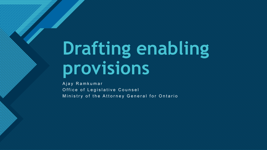# **Drafting enabling provisions**

Ajay Ramkumar Office of Legislative Counsel Ministry of the Attorney General for Ontario

**Click to edit Master title style**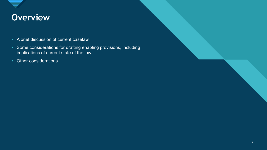

# **Civerview**

- A brief discussion of current caselaw
- Some considerations for drafting enabling provisions, including implications of current state of the law
- Other considerations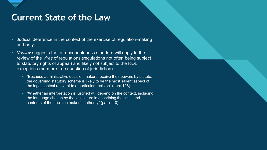

# **Current State of the Law**

- Judicial deference in the context of the exercise of regulation-making authority
- *Vavilov* suggests that a reasonableness standard will apply to the review of the *vires* of regulations (regulations not often being subject to statutory rights of appeal) and likely not subject to the ROL exceptions (no more true question of jurisdiction)
	- "Because administrative decision makers receive their powers by statute, the governing statutory scheme is likely to be the most salient aspect of the legal context relevant to a particular decision" (para 108)
	- "Whether an interpretation is justified will depend on the context, including the language chosen by the legislature in describing the limits and contours of the decision maker's authority" (para 110)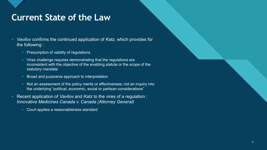

# **Current State of the Law**

- *Vavilov* confirms the continued application of *Katz*, which provides for the following :
	- Presumption of validity of regulations
	- Vires challenge requires demonstrating that the regulations are inconsistent with the objective of the enabling statute or the scope of the statutory mandate
	- Broad and purposive approach to interpretation
	- Not an assessment of the policy merits or effectiveness; not an inquiry into the underlying "political, economic, social or partisan considerations"
- Recent application of *Vavilov* and *Katz* to the vires of a regulation : *Innovative Medicines Canada v. Canada (Attorney General)*
	- Court applies a reasonableness standard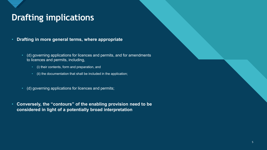# **Drafting implications**

- **Drafting in more general terms, where appropriate** 
	- (d) governing applications for licences and permits, and for amendments to licences and permits, including,
		- (i) their contents, form and preparation, and
		- (ii) the documentation that shall be included in the application;
	- (d) governing applications for licences and permits;
- **Conversely, the "contours" of the enabling provision need to be considered in light of a potentially broad interpretation**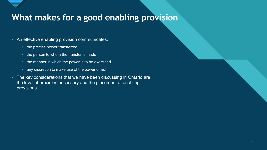

# What makes for a good enabling provision

- An effective enabling provision communicates:
	- the precise power transferred
	- the person to whom the transfer is made
	- the manner in which the power is to be exercised
	- any discretion to make use of the power or not
- The key considerations that we have been discussing in Ontario are the level of precision necessary and the placement of enabling provisions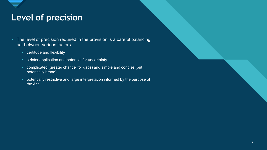# **Click to edit Click to edit Click to edit Click the Click to edit Click the Click to edit Click the Click to edit C**

- The level of precision required in the provision is a careful balancing act between various factors :
	- certitude and flexibility
	- stricter application and potential for uncertainty
	- complicated (greater chance for gaps) and simple and concise (but potentially broad)
	- potentially restrictive and large interpretation informed by the purpose of the Act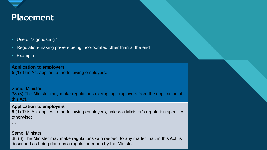

# **Click to edit Massers the Style Structure style style style style style style style style style style style**

- Use of "signposting "
- Regulation-making powers being incorporated other than at the end
- Example:

…

…

**Application to employers 5** (1) This Act applies to the following employers:

Same, Minister 38 (3) The Minister may make regulations exempting employers from the application of this Act.

#### **Application to employers**

**5** (1) This Act applies to the following employers, unless a Minister's regulation specifies otherwise:

Same, Minister

38 (3) The Minister may make regulations with respect to any matter that, in this Act, is described as being done by a regulation made by the Minister.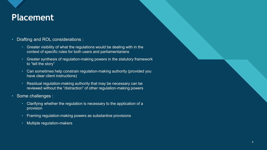

# **Click to edit Massers the Style Structure style style style style style style style style style style style**

#### • Drafting and ROL considerations :

- Greater visibility of what the regulations would be dealing with in the context of specific rules for both users and parliamentarians
- Greater synthesis of regulation-making powers in the statutory framework to "tell the story"
- Can sometimes help constrain regulation-making authority (provided you have clear client instructions)
- Residual regulation-making authority that may be necessary can be reviewed without the "distraction" of other regulation-making powers
- Some challenges :
	- Clarifying whether the regulation is necessary to the application of a provision
	- Framing regulation-making powers as substantive provisions
	- Multiple regulation-makers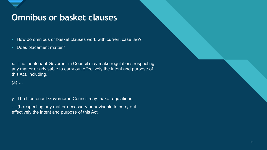

### **Omnibus or basket clauses**

• How do omnibus or basket clauses work with current case law?

• Does placement matter?

x. The Lieutenant Governor in Council may make regulations respecting any matter or advisable to carry out effectively the intent and purpose of this Act, including,

(a)….

y. The Lieutenant Governor in Council may make regulations,

… (f) respecting any matter necessary or advisable to carry out effectively the intent and purpose of this Act.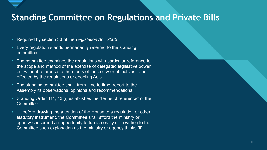

### **Standing Committee on Regulations and Private Bills**

- Required by section 33 of the *Legislation Act, 2006*
- Every regulation stands permanently referred to the standing committee
- The committee examines the regulations with particular reference to the scope and method of the exercise of delegated legislative power but without reference to the merits of the policy or objectives to be effected by the regulations or enabling Acts
- The standing committee shall, from time to time, report to the Assembly its observations, opinions and recommendations
- Standing Order 111, 13 (i) establishes the "terms of reference" of the **Committee**
- "...before drawing the attention of the House to a regulation or other statutory instrument, the Committee shall afford the ministry or agency concerned an opportunity to furnish orally or in writing to the Committee such explanation as the ministry or agency thinks fit"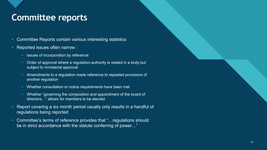# **Committee reports**

- Committee Reports contain various interesting statistics
- Reported issues often narrow :
	- Issues of incorporation by reference
	- Order of approval where a regulation-authority is vested in a body but subject to ministerial approval
	- Amendments to a regulation made reference to repealed provisions of another regulation
	- Whether consultation or notice requirements have been met
	- Whether "governing the composition and appointment of the board of directors…" allows for members to be elected
- Report covering a six month period usually only results in a handful of regulations being reported
- Committee's terms of reference provides that "…regulations should be in strict accordance with the statute conferring of power…"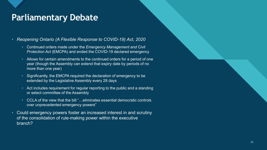# **Parliamentary Debate**

- *Reopening Ontario (A Flexible Response to COVID-19) Act, 2020*
	- Continued orders made under the *Emergency Management and Civil Protection Act* (EMCPA) and ended the COVID-19 declared emergency
	- Allows for certain amendments to the continued orders for a period of one year (though the Assembly can extend that expiry date by periods of no more than one year)
	- Significantly, the EMCPA required the declaration of emergency to be extended by the Legislative Assembly every 28 days
	- Act includes requirement for regular reporting to the public and a standing or select committee of the Assembly
	- CCLA of the view that the bill "…eliminates essential democratic controls over unprecedented emergency powers"
- Could emergency powers foster an increased interest in and scrutiny of the consolidation of rule-making power within the executive branch?